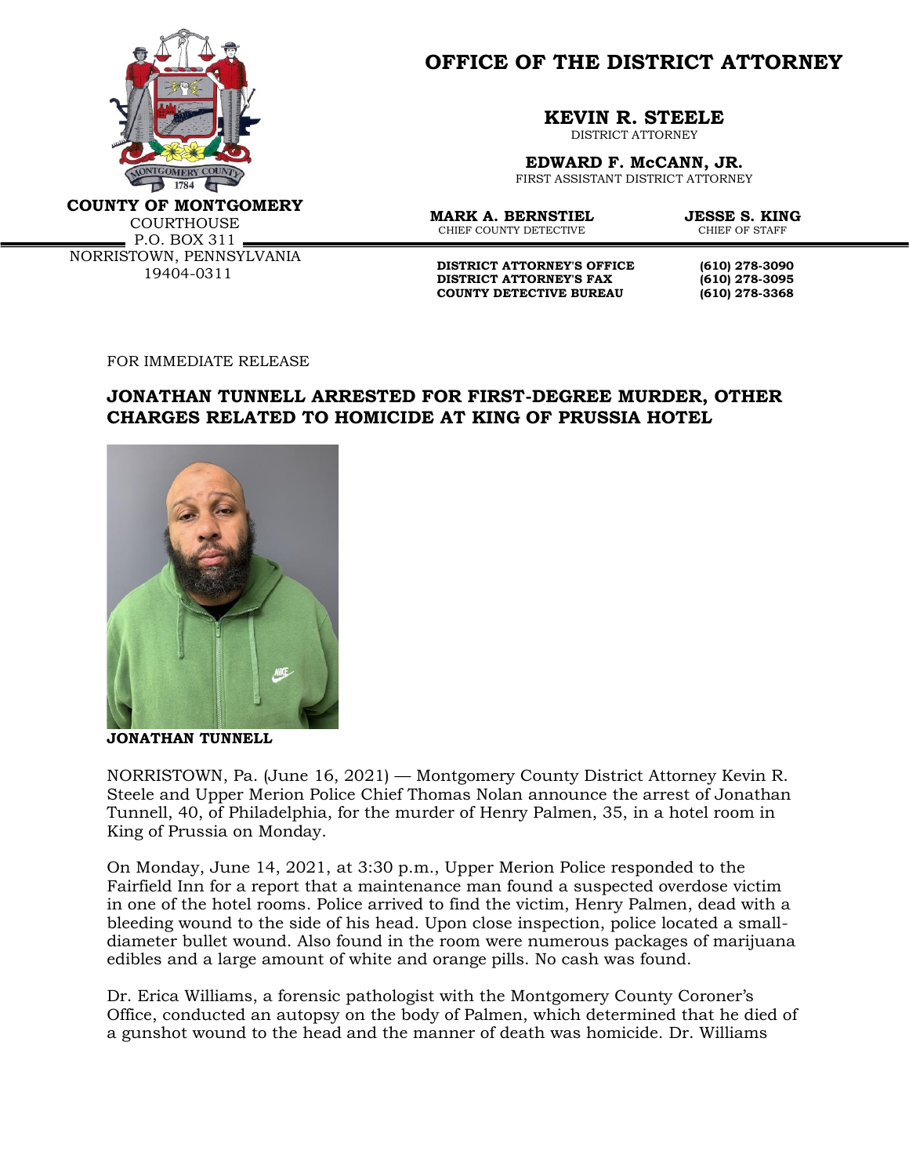

**OFFICE OF THE DISTRICT ATTORNEY**

**KEVIN R. STEELE**

DISTRICT ATTORNEY

**EDWARD F. McCANN, JR.** FIRST ASSISTANT DISTRICT ATTORNEY

**COUNTY OF MONTGOMERY**

**COURTHOUSE** P.O. BOX 311 NORRISTOWN, PENNSYLVANIA 19404-0311

**MARK A. BERNSTIEL JESSE S. KING**<br>CHIEF COUNTY DETECTIVE CHIEF OF STAFF CHIEF COUNTY DETECTIVE

**DISTRICT ATTORNEY'S OFFICE** (610) 278-3090<br>DISTRICT ATTORNEY'S FAX (610) 278-3095 **DISTRICT ATTORNEY'S FAX COUNTY DETECTIVE BUREAU (610) 278-3368**

FOR IMMEDIATE RELEASE

## **JONATHAN TUNNELL ARRESTED FOR FIRST-DEGREE MURDER, OTHER CHARGES RELATED TO HOMICIDE AT KING OF PRUSSIA HOTEL**



**JONATHAN TUNNELL**

NORRISTOWN, Pa. (June 16, 2021) — Montgomery County District Attorney Kevin R. Steele and Upper Merion Police Chief Thomas Nolan announce the arrest of Jonathan Tunnell, 40, of Philadelphia, for the murder of Henry Palmen, 35, in a hotel room in King of Prussia on Monday.

On Monday, June 14, 2021, at 3:30 p.m., Upper Merion Police responded to the Fairfield Inn for a report that a maintenance man found a suspected overdose victim in one of the hotel rooms. Police arrived to find the victim, Henry Palmen, dead with a bleeding wound to the side of his head. Upon close inspection, police located a smalldiameter bullet wound. Also found in the room were numerous packages of marijuana edibles and a large amount of white and orange pills. No cash was found.

Dr. Erica Williams, a forensic pathologist with the Montgomery County Coroner's Office, conducted an autopsy on the body of Palmen, which determined that he died of a gunshot wound to the head and the manner of death was homicide. Dr. Williams